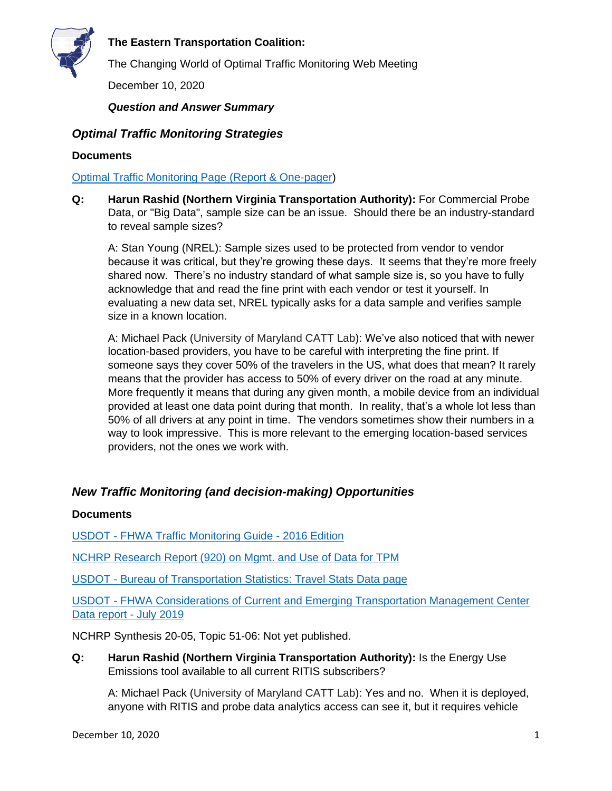

The Changing World of Optimal Traffic Monitoring Web Meeting

December 10, 2020

*Question and Answer Summary*

# *Optimal Traffic Monitoring Strategies*

### **Documents**

[Optimal Traffic Monitoring Page \(Report & One-pager\)](https://tetcoalition.org/projects/optimal-traffic-monitoring/)

**Q: Harun Rashid (Northern Virginia Transportation Authority):** For Commercial Probe Data, or "Big Data", sample size can be an issue. Should there be an industry-standard to reveal sample sizes?

A: Stan Young (NREL): Sample sizes used to be protected from vendor to vendor because it was critical, but they're growing these days. It seems that they're more freely shared now. There's no industry standard of what sample size is, so you have to fully acknowledge that and read the fine print with each vendor or test it yourself. In evaluating a new data set, NREL typically asks for a data sample and verifies sample size in a known location.

A: Michael Pack (University of Maryland CATT Lab): We've also noticed that with newer location-based providers, you have to be careful with interpreting the fine print. If someone says they cover 50% of the travelers in the US, what does that mean? It rarely means that the provider has access to 50% of every driver on the road at any minute. More frequently it means that during any given month, a mobile device from an individual provided at least one data point during that month. In reality, that's a whole lot less than 50% of all drivers at any point in time. The vendors sometimes show their numbers in a way to look impressive. This is more relevant to the emerging location-based services providers, not the ones we work with.

# *New Traffic Monitoring (and decision-making) Opportunities*

### **Documents**

USDOT - [FHWA Traffic Monitoring Guide -](https://www.fhwa.dot.gov/policyinformation/tmguide/) 2016 Edition

[NCHRP Research Report \(920\) on Mgmt. and Use of Data for TPM](http://www.trb.org/Main/Blurbs/179095.aspx) 

USDOT - [Bureau of Transportation Statistics: Travel Stats Data page](https://www.bts.gov/covid-19)

USDOT - [FHWA Considerations of Current and Emerging Transportation Management Center](https://ops.fhwa.dot.gov/publications/fhwahop18084/fhwahop18084.pdf)  [Data report -](https://ops.fhwa.dot.gov/publications/fhwahop18084/fhwahop18084.pdf) July 2019

NCHRP Synthesis 20-05, Topic 51-06: Not yet published.

**Q: Harun Rashid (Northern Virginia Transportation Authority):** Is the Energy Use Emissions tool available to all current RITIS subscribers?

A: Michael Pack (University of Maryland CATT Lab): Yes and no. When it is deployed, anyone with RITIS and probe data analytics access can see it, but it requires vehicle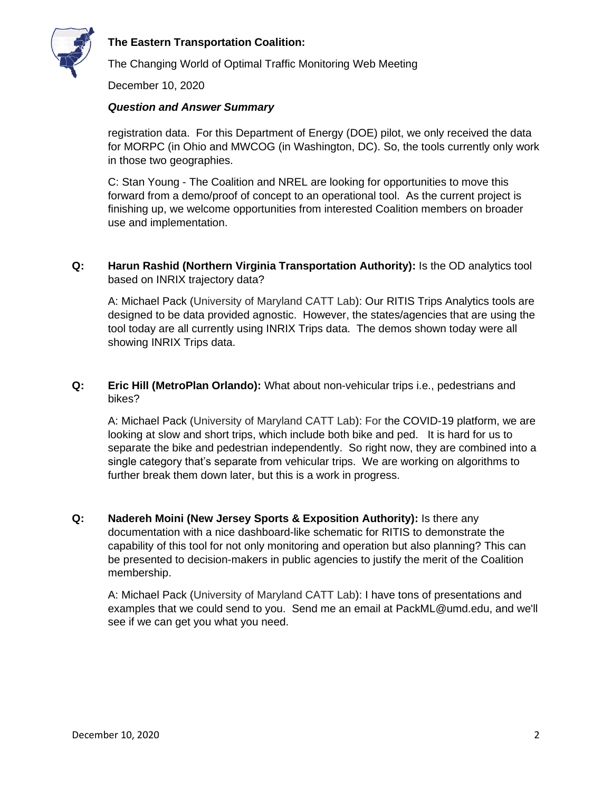

The Changing World of Optimal Traffic Monitoring Web Meeting

December 10, 2020

#### *Question and Answer Summary*

registration data. For this Department of Energy (DOE) pilot, we only received the data for MORPC (in Ohio and MWCOG (in Washington, DC). So, the tools currently only work in those two geographies.

C: Stan Young - The Coalition and NREL are looking for opportunities to move this forward from a demo/proof of concept to an operational tool. As the current project is finishing up, we welcome opportunities from interested Coalition members on broader use and implementation.

**Q: Harun Rashid (Northern Virginia Transportation Authority):** Is the OD analytics tool based on INRIX trajectory data?

A: Michael Pack (University of Maryland CATT Lab): Our RITIS Trips Analytics tools are designed to be data provided agnostic. However, the states/agencies that are using the tool today are all currently using INRIX Trips data. The demos shown today were all showing INRIX Trips data.

**Q: Eric Hill (MetroPlan Orlando):** What about non-vehicular trips i.e., pedestrians and bikes?

A: Michael Pack (University of Maryland CATT Lab): For the COVID-19 platform, we are looking at slow and short trips, which include both bike and ped. It is hard for us to separate the bike and pedestrian independently. So right now, they are combined into a single category that's separate from vehicular trips. We are working on algorithms to further break them down later, but this is a work in progress.

**Q: Nadereh Moini (New Jersey Sports & Exposition Authority):** Is there any documentation with a nice dashboard-like schematic for RITIS to demonstrate the capability of this tool for not only monitoring and operation but also planning? This can be presented to decision-makers in public agencies to justify the merit of the Coalition membership.

A: Michael Pack (University of Maryland CATT Lab): I have tons of presentations and examples that we could send to you. Send me an email at PackML@umd.edu, and we'll see if we can get you what you need.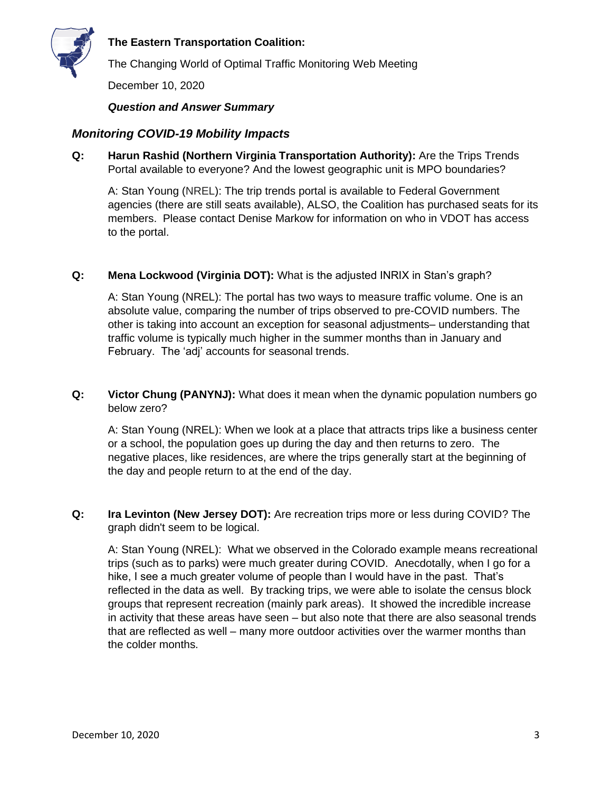

The Changing World of Optimal Traffic Monitoring Web Meeting

December 10, 2020

#### *Question and Answer Summary*

### *Monitoring COVID-19 Mobility Impacts*

**Q: Harun Rashid (Northern Virginia Transportation Authority):** Are the Trips Trends Portal available to everyone? And the lowest geographic unit is MPO boundaries?

A: Stan Young (NREL): The trip trends portal is available to Federal Government agencies (there are still seats available), ALSO, the Coalition has purchased seats for its members. Please contact Denise Markow for information on who in VDOT has access to the portal.

#### **Q: Mena Lockwood (Virginia DOT):** What is the adjusted INRIX in Stan's graph?

A: Stan Young (NREL): The portal has two ways to measure traffic volume. One is an absolute value, comparing the number of trips observed to pre-COVID numbers. The other is taking into account an exception for seasonal adjustments– understanding that traffic volume is typically much higher in the summer months than in January and February. The 'adj' accounts for seasonal trends.

**Q: Victor Chung (PANYNJ):** What does it mean when the dynamic population numbers go below zero?

A: Stan Young (NREL): When we look at a place that attracts trips like a business center or a school, the population goes up during the day and then returns to zero. The negative places, like residences, are where the trips generally start at the beginning of the day and people return to at the end of the day.

**Q: Ira Levinton (New Jersey DOT):** Are recreation trips more or less during COVID? The graph didn't seem to be logical.

A: Stan Young (NREL): What we observed in the Colorado example means recreational trips (such as to parks) were much greater during COVID. Anecdotally, when I go for a hike, I see a much greater volume of people than I would have in the past. That's reflected in the data as well. By tracking trips, we were able to isolate the census block groups that represent recreation (mainly park areas). It showed the incredible increase in activity that these areas have seen – but also note that there are also seasonal trends that are reflected as well – many more outdoor activities over the warmer months than the colder months.